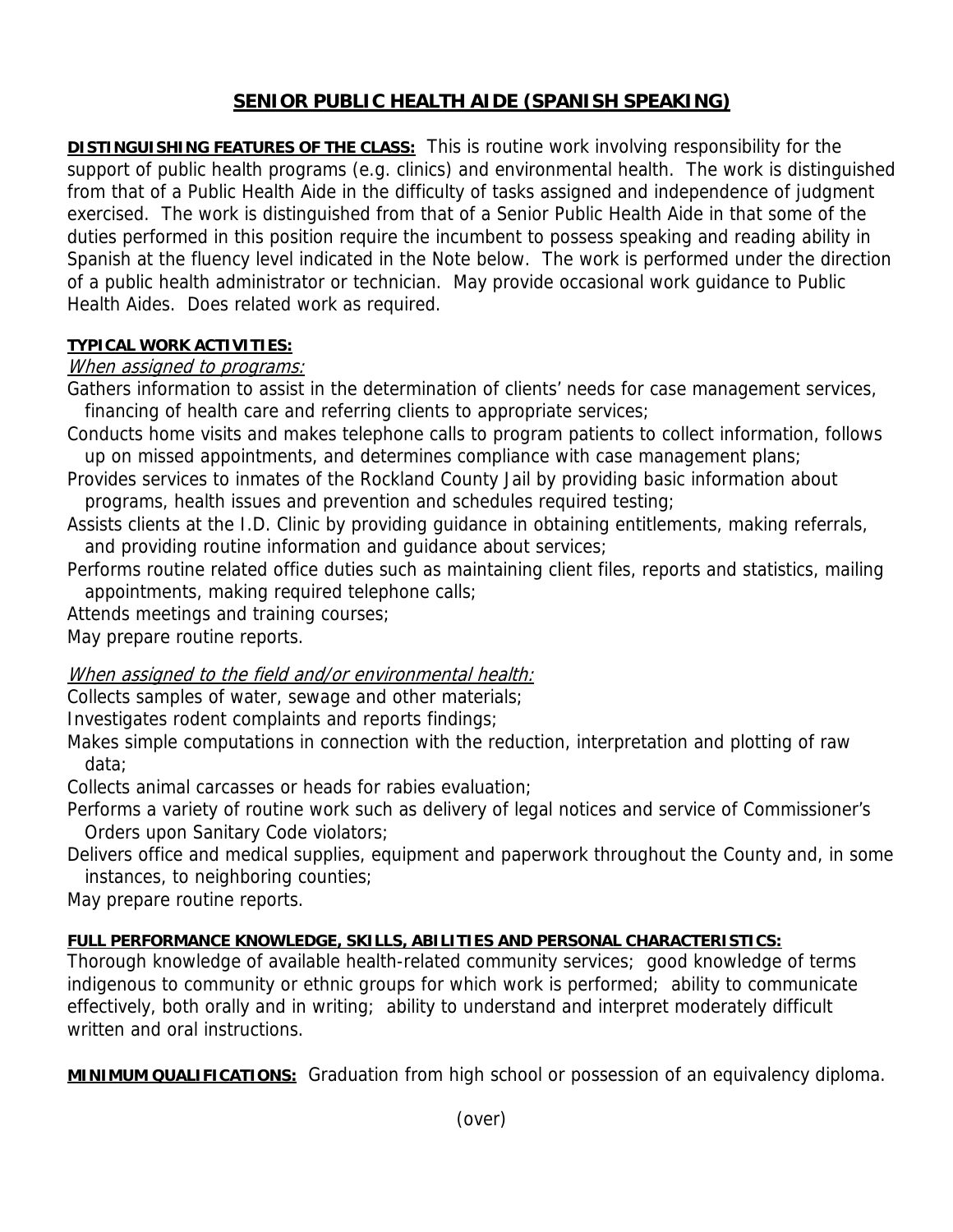# **SENIOR PUBLIC HEALTH AIDE (SPANISH SPEAKING)**

**DISTINGUISHING FEATURES OF THE CLASS:** This is routine work involving responsibility for the support of public health programs (e.g. clinics) and environmental health. The work is distinguished from that of a Public Health Aide in the difficulty of tasks assigned and independence of judgment exercised. The work is distinguished from that of a Senior Public Health Aide in that some of the duties performed in this position require the incumbent to possess speaking and reading ability in Spanish at the fluency level indicated in the Note below. The work is performed under the direction of a public health administrator or technician. May provide occasional work guidance to Public Health Aides. Does related work as required.

#### **TYPICAL WORK ACTIVITIES:**

### When assigned to programs:

Gathers information to assist in the determination of clients' needs for case management services, financing of health care and referring clients to appropriate services;

Conducts home visits and makes telephone calls to program patients to collect information, follows up on missed appointments, and determines compliance with case management plans;

Provides services to inmates of the Rockland County Jail by providing basic information about programs, health issues and prevention and schedules required testing;

Assists clients at the I.D. Clinic by providing guidance in obtaining entitlements, making referrals, and providing routine information and guidance about services;

Performs routine related office duties such as maintaining client files, reports and statistics, mailing appointments, making required telephone calls;

Attends meetings and training courses;

May prepare routine reports.

### When assigned to the field and/or environmental health:

Collects samples of water, sewage and other materials;

Investigates rodent complaints and reports findings;

Makes simple computations in connection with the reduction, interpretation and plotting of raw data;

Collects animal carcasses or heads for rabies evaluation;

Performs a variety of routine work such as delivery of legal notices and service of Commissioner's Orders upon Sanitary Code violators;

Delivers office and medical supplies, equipment and paperwork throughout the County and, in some instances, to neighboring counties;

May prepare routine reports.

## **FULL PERFORMANCE KNOWLEDGE, SKILLS, ABILITIES AND PERSONAL CHARACTERISTICS:**

Thorough knowledge of available health-related community services; good knowledge of terms indigenous to community or ethnic groups for which work is performed; ability to communicate effectively, both orally and in writing; ability to understand and interpret moderately difficult written and oral instructions.

**MINIMUM QUALIFICATIONS:** Graduation from high school or possession of an equivalency diploma.